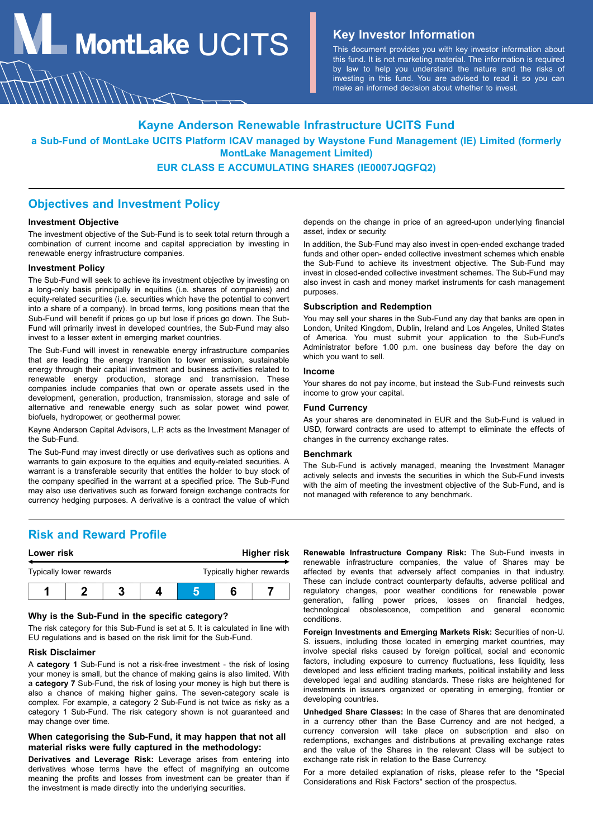**MontLake**  $UCITS$  **Key Investor Information** 

This document provides you with key investor information about this fund. It is not marketing material. The information is required by law to help you understand the nature and the risks of investing in this fund. You are advised to read it so you can make an informed decision about whether to invest.

### **Kayne Anderson Renewable Infrastructure UCITS Fund**

**a Sub-Fund of MontLake UCITS Platform ICAV managed by Waystone Fund Management (IE) Limited (formerly MontLake Management Limited)**

### **EUR CLASS E ACCUMULATING SHARES (IE0007JQGFQ2)**

### **Objectives and Investment Policy**

#### **Investment Objective**

The investment objective of the Sub-Fund is to seek total return through a combination of current income and capital appreciation by investing in renewable energy infrastructure companies.

#### **Investment Policy**

The Sub-Fund will seek to achieve its investment objective by investing on a long-only basis principally in equities (i.e. shares of companies) and equity-related securities (i.e. securities which have the potential to convert into a share of a company). In broad terms, long positions mean that the Sub-Fund will benefit if prices go up but lose if prices go down. The Sub-Fund will primarily invest in developed countries, the Sub-Fund may also invest to a lesser extent in emerging market countries.

The Sub-Fund will invest in renewable energy infrastructure companies that are leading the energy transition to lower emission, sustainable energy through their capital investment and business activities related to renewable energy production, storage and transmission. These companies include companies that own or operate assets used in the development, generation, production, transmission, storage and sale of alternative and renewable energy such as solar power, wind power, biofuels, hydropower, or geothermal power.

Kayne Anderson Capital Advisors, L.P. acts as the Investment Manager of the Sub-Fund.

The Sub-Fund may invest directly or use derivatives such as options and warrants to gain exposure to the equities and equity-related securities. A warrant is a transferable security that entitles the holder to buy stock of the company specified in the warrant at a specified price. The Sub-Fund may also use derivatives such as forward foreign exchange contracts for currency hedging purposes. A derivative is a contract the value of which

depends on the change in price of an agreed-upon underlying financial asset, index or security.

In addition, the Sub-Fund may also invest in open-ended exchange traded funds and other open- ended collective investment schemes which enable the Sub-Fund to achieve its investment objective. The Sub-Fund may invest in closed-ended collective investment schemes. The Sub-Fund may also invest in cash and money market instruments for cash management purposes.

#### **Subscription and Redemption**

You may sell your shares in the Sub-Fund any day that banks are open in London, United Kingdom, Dublin, Ireland and Los Angeles, United States of America. You must submit your application to the Sub-Fund's Administrator before 1.00 p.m. one business day before the day on which you want to sell.

#### **Income**

Your shares do not pay income, but instead the Sub-Fund reinvests such income to grow your capital.

#### **Fund Currency**

As your shares are denominated in EUR and the Sub-Fund is valued in USD, forward contracts are used to attempt to eliminate the effects of changes in the currency exchange rates.

#### **Benchmark**

The Sub-Fund is actively managed, meaning the Investment Manager actively selects and invests the securities in which the Sub-Fund invests with the aim of meeting the investment objective of the Sub-Fund, and is not managed with reference to any benchmark.

### **Risk and Reward Profile**



#### **Why is the Sub-Fund in the specific category?**

The risk category for this Sub-Fund is set at 5. It is calculated in line with EU regulations and is based on the risk limit for the Sub-Fund.

#### **Risk Disclaimer**

A **category 1** Sub-Fund is not a risk-free investment - the risk of losing your money is small, but the chance of making gains is also limited. With a **category 7** Sub-Fund, the risk of losing your money is high but there is also a chance of making higher gains. The seven-category scale is complex. For example, a category 2 Sub-Fund is not twice as risky as a category 1 Sub-Fund. The risk category shown is not guaranteed and may change over time.

### **When categorising the Sub-Fund, it may happen that not all material risks were fully captured in the methodology:**

**Derivatives and Leverage Risk:** Leverage arises from entering into derivatives whose terms have the effect of magnifying an outcome meaning the profits and losses from investment can be greater than if the investment is made directly into the underlying securities.

**Renewable Infrastructure Company Risk:** The Sub-Fund invests in renewable infrastructure companies, the value of Shares may be affected by events that adversely affect companies in that industry. These can include contract counterparty defaults, adverse political and regulatory changes, poor weather conditions for renewable power generation, falling power prices, losses on financial hedges, technological obsolescence, competition and general economic conditions.

**Foreign Investments and Emerging Markets Risk:** Securities of non-U. S. issuers, including those located in emerging market countries, may involve special risks caused by foreign political, social and economic factors, including exposure to currency fluctuations, less liquidity, less developed and less efficient trading markets, political instability and less developed legal and auditing standards. These risks are heightened for investments in issuers organized or operating in emerging, frontier or developing countries.

**Unhedged Share Classes:** In the case of Shares that are denominated in a currency other than the Base Currency and are not hedged, a currency conversion will take place on subscription and also on redemptions, exchanges and distributions at prevailing exchange rates and the value of the Shares in the relevant Class will be subject to exchange rate risk in relation to the Base Currency.

For a more detailed explanation of risks, please refer to the "Special Considerations and Risk Factors" section of the prospectus.